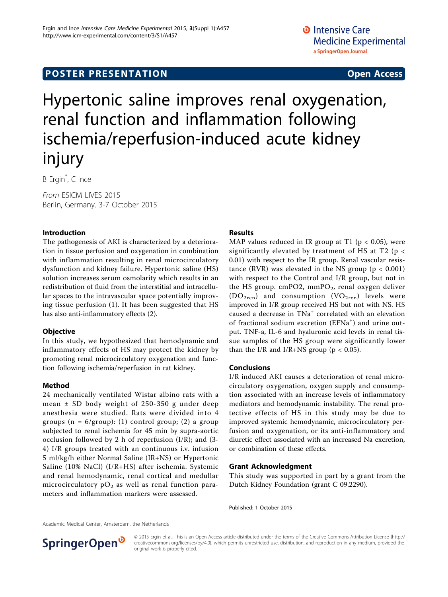## **POSTER PRESENTATION CONSUMING ACCESS**

# Hypertonic saline improves renal oxygenation, renal function and inflammation following ischemia/reperfusion-induced acute kidney injury

B Ergin\* , C Ince

From ESICM LIVES 2015 Berlin, Germany. 3-7 October 2015

#### Introduction

The pathogenesis of AKI is characterized by a deterioration in tissue perfusion and oxygenation in combination with inflammation resulting in renal microcirculatory dysfunction and kidney failure. Hypertonic saline (HS) solution increases serum osmolarity which results in an redistribution of fluid from the interstitial and intracellular spaces to the intravascular space potentially improving tissue perfusion (1). It has been suggested that HS has also anti-inflammatory effects (2).

#### **Objective**

In this study, we hypothesized that hemodynamic and inflammatory effects of HS may protect the kidney by promoting renal microcirculatory oxygenation and function following ischemia/reperfusion in rat kidney.

### Method

24 mechanically ventilated Wistar albino rats with a mean ± SD body weight of 250-350 g under deep anesthesia were studied. Rats were divided into 4 groups  $(n = 6/$ group): (1) control group; (2) a group subjected to renal ischemia for 45 min by supra-aortic occlusion followed by 2 h of reperfusion (I/R); and (3- 4) I/R groups treated with an continuous i.v. infusion 5 ml/kg/h either Normal Saline (IR+NS) or Hypertonic Saline (10% NaCl) (I/R+HS) after ischemia. Systemic and renal hemodynamic, renal cortical and medullar microcirculatory  $pO_2$  as well as renal function parameters and inflammation markers were assessed.

### Results

MAP values reduced in IR group at T1 ( $p < 0.05$ ), were significantly elevated by treatment of HS at T2 (p < 0.01) with respect to the IR group. Renal vascular resistance (RVR) was elevated in the NS group ( $p < 0.001$ ) with respect to the Control and I/R group, but not in the HS group.  $cmPO2$ ,  $mmPO_2$ , renal oxygen deliver  $(DO<sub>2ren</sub>)$  and consumption  $(VO<sub>2ren</sub>)$  levels were improved in I/R group received HS but not with NS. HS caused a decrease in TNa<sup>+</sup> correlated with an elevation of fractional sodium excretion (EFNa<sup>+</sup>) and urine output. TNF-a, IL-6 and hyaluronic acid levels in renal tissue samples of the HS group were significantly lower than the I/R and I/R+NS group ( $p < 0.05$ ).

#### Conclusions

I/R induced AKI causes a deterioration of renal microcirculatory oxygenation, oxygen supply and consumption associated with an increase levels of inflammatory mediators and hemodynamic instability. The renal protective effects of HS in this study may be due to improved systemic hemodynamic, microcirculatory perfusion and oxygenation, or its anti-inflammatory and diuretic effect associated with an increased Na excretion, or combination of these effects.

#### Grant Acknowledgment

This study was supported in part by a grant from the Dutch Kidney Foundation (grant C 09.2290).

Published: 1 October 2015

Academic Medical Center, Amsterdam, the Netherlands



© 2015 Ergin et al.; This is an Open Access article distributed under the terms of the Creative Commons Attribution License [\(http://](http://creativecommons.org/licenses/by/4.0) [creativecommons.org/licenses/by/4.0](http://creativecommons.org/licenses/by/4.0)), which permits unrestricted use, distribution, and reproduction in any medium, provided the original work is properly cited.